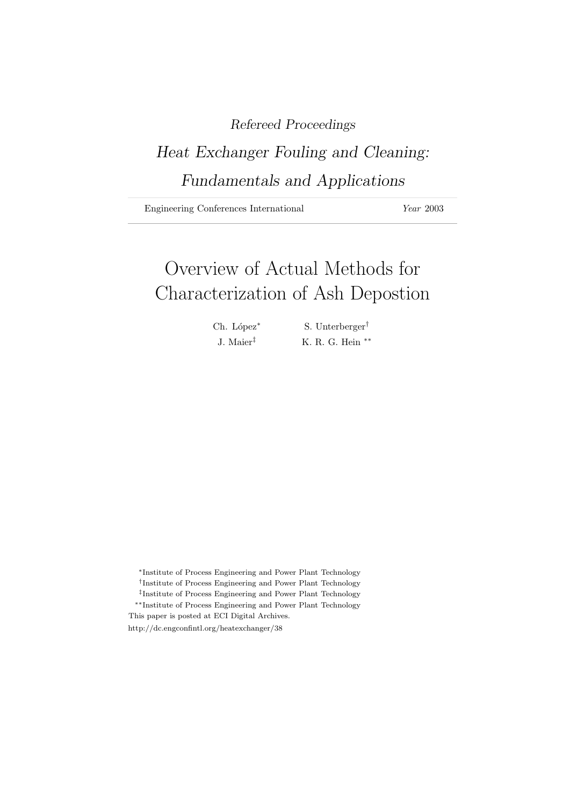# Refereed Proceedings

# Heat Exchanger Fouling and Cleaning: Fundamentals and Applications

Engineering Conferences International Year 2003

# Overview of Actual Methods for Characterization of Ash Depostion

Ch. López<sup>∗</sup> S. Unterberger<sup>†</sup>

J. Maier‡ K. R. G. Hein ∗∗

<sup>∗</sup>Institute of Process Engineering and Power Plant Technology

- † Institute of Process Engineering and Power Plant Technology
- ‡ Institute of Process Engineering and Power Plant Technology

∗∗Institute of Process Engineering and Power Plant Technology This paper is posted at ECI Digital Archives.

http://dc.engconfintl.org/heatexchanger/38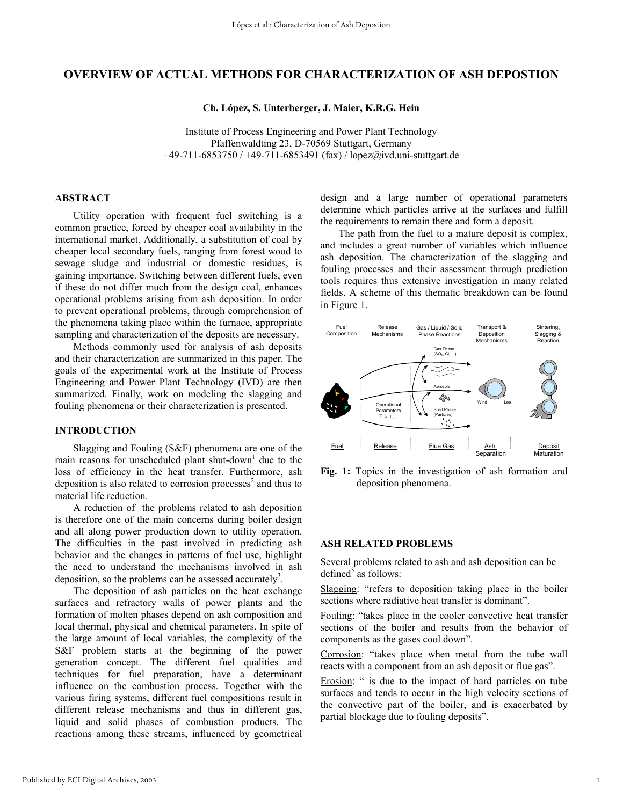# **OVERVIEW OF ACTUAL METHODS FOR CHARACTERIZATION OF ASH DEPOSTION**

**Ch. López, S. Unterberger, J. Maier, K.R.G. Hein** 

Institute of Process Engineering and Power Plant Technology Pfaffenwaldting 23, D-70569 Stuttgart, Germany +49-711-6853750 / +49-711-6853491 (fax) / lopez@ivd.uni-stuttgart.de

### **ABSTRACT**

 Utility operation with frequent fuel switching is a common practice, forced by cheaper coal availability in the international market. Additionally, a substitution of coal by cheaper local secondary fuels, ranging from forest wood to sewage sludge and industrial or domestic residues, is gaining importance. Switching between different fuels, even if these do not differ much from the design coal, enhances operational problems arising from ash deposition. In order to prevent operational problems, through comprehension of the phenomena taking place within the furnace, appropriate sampling and characterization of the deposits are necessary.

Methods commonly used for analysis of ash deposits and their characterization are summarized in this paper. The goals of the experimental work at the Institute of Process Engineering and Power Plant Technology (IVD) are then summarized. Finally, work on modeling the slagging and fouling phenomena or their characterization is presented.

### **INTRODUCTION**

 Slagging and Fouling (S&F) phenomena are one of the main reasons for unscheduled plant shut-down<sup>1</sup> due to the loss of efficiency in the heat transfer. Furthermore, ash deposition is also related to corrosion processes $2$  and thus to material life reduction.

A reduction of the problems related to ash deposition is therefore one of the main concerns during boiler design and all along power production down to utility operation. The difficulties in the past involved in predicting ash behavior and the changes in patterns of fuel use, highlight the need to understand the mechanisms involved in ash deposition, so the problems can be assessed accurately<sup>3</sup>.

The deposition of ash particles on the heat exchange surfaces and refractory walls of power plants and the formation of molten phases depend on ash composition and local thermal, physical and chemical parameters. In spite of the large amount of local variables, the complexity of the S&F problem starts at the beginning of the power generation concept. The different fuel qualities and techniques for fuel preparation, have a determinant influence on the combustion process. Together with the various firing systems, different fuel compositions result in different release mechanisms and thus in different gas, liquid and solid phases of combustion products. The reactions among these streams, influenced by geometrical

design and a large number of operational parameters determine which particles arrive at the surfaces and fulfill the requirements to remain there and form a deposit.

The path from the fuel to a mature deposit is complex, and includes a great number of variables which influence ash deposition. The characterization of the slagging and fouling processes and their assessment through prediction tools requires thus extensive investigation in many related fields. A scheme of this thematic breakdown can be found in Figure 1.



**Fig. 1:** Topics in the investigation of ash formation and deposition phenomena.

#### **ASH RELATED PROBLEMS**

Several problems related to ash and ash deposition can be defined<sup>3</sup> as follows:

Slagging: "refers to deposition taking place in the boiler sections where radiative heat transfer is dominant".

Fouling: "takes place in the cooler convective heat transfer sections of the boiler and results from the behavior of components as the gases cool down".

Corrosion: "takes place when metal from the tube wall reacts with a component from an ash deposit or flue gas".

Erosion: " is due to the impact of hard particles on tube surfaces and tends to occur in the high velocity sections of the convective part of the boiler, and is exacerbated by partial blockage due to fouling deposits".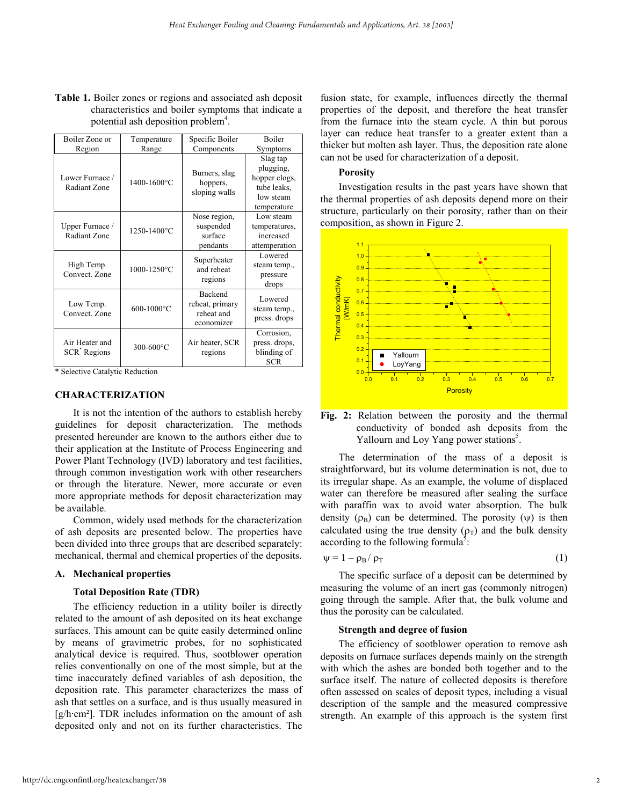**Table 1.** Boiler zones or regions and associated ash deposit characteristics and boiler symptoms that indicate a potential ash deposition problem<sup>4</sup>.

| Boiler Zone or                             | Temperature | Specific Boiler                                               | <b>Boiler</b>                                                                     |
|--------------------------------------------|-------------|---------------------------------------------------------------|-----------------------------------------------------------------------------------|
| Region                                     | Range       | Components                                                    | Symptoms                                                                          |
| Lower Furnace /<br>Radiant Zone            | 1400-1600°C | Burners, slag<br>hoppers,<br>sloping walls                    | Slag tap<br>plugging,<br>hopper clogs,<br>tube leaks,<br>low steam<br>temperature |
| Upper Furnace /<br>Radiant Zone            | 1250-1400°C | Nose region,<br>suspended<br>surface<br>pendants              | Low steam<br>temperatures,<br>increased<br>attemperation                          |
| High Temp.<br>Convect. Zone                | 1000-1250°C | Superheater<br>and reheat<br>regions                          | Lowered<br>steam temp.,<br>pressure<br>drops                                      |
| Low Temp.<br>Convect. Zone                 | 600-1000°C  | <b>Backend</b><br>reheat, primary<br>reheat and<br>economizer | Lowered<br>steam temp.,<br>press. drops                                           |
| Air Heater and<br>SCR <sup>*</sup> Regions | 300-600°C   | Air heater, SCR<br>regions                                    | Corrosion,<br>press. drops,<br>blinding of<br><b>SCR</b>                          |

\* Selective Catalytic Reduction

#### **CHARACTERIZATION**

It is not the intention of the authors to establish hereby guidelines for deposit characterization. The methods presented hereunder are known to the authors either due to their application at the Institute of Process Engineering and Power Plant Technology (IVD) laboratory and test facilities, through common investigation work with other researchers or through the literature. Newer, more accurate or even more appropriate methods for deposit characterization may be available.

Common, widely used methods for the characterization of ash deposits are presented below. The properties have been divided into three groups that are described separately: mechanical, thermal and chemical properties of the deposits.

#### **A. Mechanical properties**

#### **Total Deposition Rate (TDR)**

The efficiency reduction in a utility boiler is directly related to the amount of ash deposited on its heat exchange surfaces. This amount can be quite easily determined online by means of gravimetric probes, for no sophisticated analytical device is required. Thus, sootblower operation relies conventionally on one of the most simple, but at the time inaccurately defined variables of ash deposition, the deposition rate. This parameter characterizes the mass of ash that settles on a surface, and is thus usually measured in [g/h·cm²]. TDR includes information on the amount of ash deposited only and not on its further characteristics. The

fusion state, for example, influences directly the thermal properties of the deposit, and therefore the heat transfer from the furnace into the steam cycle. A thin but porous layer can reduce heat transfer to a greater extent than a thicker but molten ash layer. Thus, the deposition rate alone can not be used for characterization of a deposit.

### **Porosity**

 Investigation results in the past years have shown that the thermal properties of ash deposits depend more on their structure, particularly on their porosity, rather than on their composition, as shown in Figure 2.



**Fig. 2:** Relation between the porosity and the thermal conductivity of bonded ash deposits from the Yallourn and Loy Yang power stations<sup>5</sup>.

The determination of the mass of a deposit is straightforward, but its volume determination is not, due to its irregular shape. As an example, the volume of displaced water can therefore be measured after sealing the surface with paraffin wax to avoid water absorption. The bulk density  $(\rho_B)$  can be determined. The porosity  $(\psi)$  is then calculated using the true density  $(\rho_T)$  and the bulk density according to the following formula<sup> $\delta$ </sup>:

$$
\psi = 1 - \rho_B / \rho_T \tag{1}
$$

The specific surface of a deposit can be determined by measuring the volume of an inert gas (commonly nitrogen) going through the sample. After that, the bulk volume and thus the porosity can be calculated.

#### **Strength and degree of fusion**

The efficiency of sootblower operation to remove ash deposits on furnace surfaces depends mainly on the strength with which the ashes are bonded both together and to the surface itself. The nature of collected deposits is therefore often assessed on scales of deposit types, including a visual description of the sample and the measured compressive strength. An example of this approach is the system first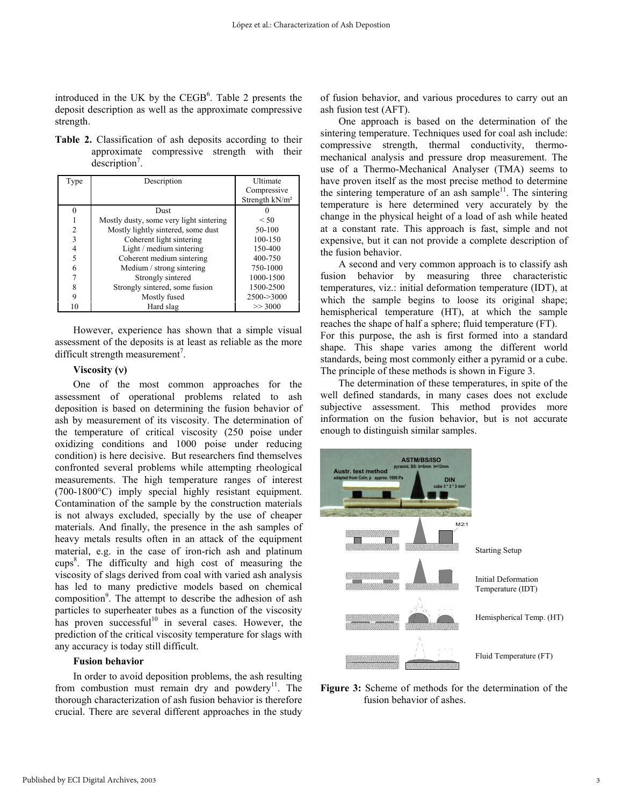introduced in the UK by the  $CEGB<sup>6</sup>$ . Table 2 presents the deposit description as well as the approximate compressive strength.

**Table 2.** Classification of ash deposits according to their approximate compressive strength with their description<sup>7</sup>.

| Type           | Description                             | <b>Ultimate</b>            |
|----------------|-----------------------------------------|----------------------------|
|                |                                         | Compressive                |
|                |                                         | Strength kN/m <sup>2</sup> |
| 0              | Dust                                    |                            |
|                | Mostly dusty, some very light sintering | $\leq 50$                  |
| $\overline{c}$ | Mostly lightly sintered, some dust      | 50-100                     |
| 3              | Coherent light sintering                | 100-150                    |
| 4              | Light / medium sintering                | 150-400                    |
| 5              | Coherent medium sintering               | 400-750                    |
| 6              | Medium / strong sintering               | 750-1000                   |
|                | Strongly sintered                       | 1000-1500                  |
| 8              | Strongly sintered, some fusion          | 1500-2500                  |
| 9              | Mostly fused                            | 2500->3000                 |
| 10             | Hard slag                               | >> 3000                    |

However, experience has shown that a simple visual assessment of the deposits is at least as reliable as the more difficult strength measurement<sup>7</sup>.

# **Viscosity (**ν**)**

One of the most common approaches for the assessment of operational problems related to ash deposition is based on determining the fusion behavior of ash by measurement of its viscosity. The determination of the temperature of critical viscosity (250 poise under oxidizing conditions and 1000 poise under reducing condition) is here decisive. But researchers find themselves confronted several problems while attempting rheological measurements. The high temperature ranges of interest (700-1800°C) imply special highly resistant equipment. Contamination of the sample by the construction materials is not always excluded, specially by the use of cheaper materials. And finally, the presence in the ash samples of heavy metals results often in an attack of the equipment material, e.g. in the case of iron-rich ash and platinum cups<sup>8</sup>. The difficulty and high cost of measuring the viscosity of slags derived from coal with varied ash analysis has led to many predictive models based on chemical composition<sup>9</sup>. The attempt to describe the adhesion of ash particles to superheater tubes as a function of the viscosity has proven successful<sup>10</sup> in several cases. However, the prediction of the critical viscosity temperature for slags with any accuracy is today still difficult.

#### **Fusion behavior**

In order to avoid deposition problems, the ash resulting from combustion must remain dry and powdery $11$ . The thorough characterization of ash fusion behavior is therefore crucial. There are several different approaches in the study

of fusion behavior, and various procedures to carry out an ash fusion test (AFT).

One approach is based on the determination of the sintering temperature. Techniques used for coal ash include: compressive strength, thermal conductivity, thermomechanical analysis and pressure drop measurement. The use of a Thermo-Mechanical Analyser (TMA) seems to have proven itself as the most precise method to determine the sintering temperature of an ash sample<sup>11</sup>. The sintering temperature is here determined very accurately by the change in the physical height of a load of ash while heated at a constant rate. This approach is fast, simple and not expensive, but it can not provide a complete description of the fusion behavior.

A second and very common approach is to classify ash fusion behavior by measuring three characteristic temperatures, viz.: initial deformation temperature (IDT), at which the sample begins to loose its original shape; hemispherical temperature (HT), at which the sample reaches the shape of half a sphere; fluid temperature (FT). For this purpose, the ash is first formed into a standard shape. This shape varies among the different world standards, being most commonly either a pyramid or a cube. The principle of these methods is shown in Figure 3.

The determination of these temperatures, in spite of the well defined standards, in many cases does not exclude subjective assessment. This method provides more information on the fusion behavior, but is not accurate enough to distinguish similar samples.



**Figure 3:** Scheme of methods for the determination of the fusion behavior of ashes.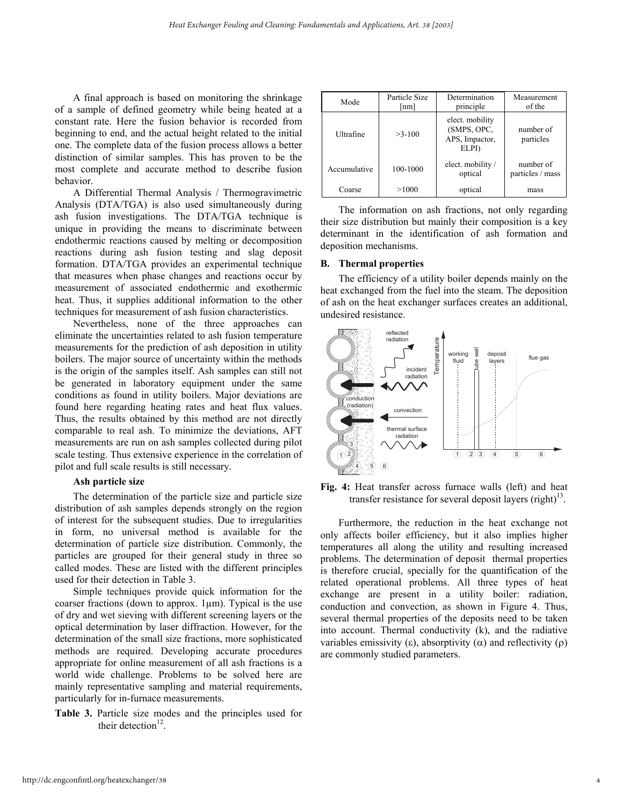A final approach is based on monitoring the shrinkage of a sample of defined geometry while being heated at a constant rate. Here the fusion behavior is recorded from beginning to end, and the actual height related to the initial one. The complete data of the fusion process allows a better distinction of similar samples. This has proven to be the most complete and accurate method to describe fusion behavior.

A Differential Thermal Analysis / Thermogravimetric Analysis (DTA/TGA) is also used simultaneously during ash fusion investigations. The DTA/TGA technique is unique in providing the means to discriminate between endothermic reactions caused by melting or decomposition reactions during ash fusion testing and slag deposit formation. DTA/TGA provides an experimental technique that measures when phase changes and reactions occur by measurement of associated endothermic and exothermic heat. Thus, it supplies additional information to the other techniques for measurement of ash fusion characteristics.

Nevertheless, none of the three approaches can eliminate the uncertainties related to ash fusion temperature measurements for the prediction of ash deposition in utility boilers. The major source of uncertainty within the methods is the origin of the samples itself. Ash samples can still not be generated in laboratory equipment under the same conditions as found in utility boilers. Major deviations are found here regarding heating rates and heat flux values. Thus, the results obtained by this method are not directly comparable to real ash. To minimize the deviations, AFT measurements are run on ash samples collected during pilot scale testing. Thus extensive experience in the correlation of pilot and full scale results is still necessary.

### **Ash particle size**

 The determination of the particle size and particle size distribution of ash samples depends strongly on the region of interest for the subsequent studies. Due to irregularities in form, no universal method is available for the determination of particle size distribution. Commonly, the particles are grouped for their general study in three so called modes. These are listed with the different principles used for their detection in Table 3.

Simple techniques provide quick information for the coarser fractions (down to approx.  $1\mu$ m). Typical is the use of dry and wet sieving with different screening layers or the optical determination by laser diffraction. However, for the determination of the small size fractions, more sophisticated methods are required. Developing accurate procedures appropriate for online measurement of all ash fractions is a world wide challenge. Problems to be solved here are mainly representative sampling and material requirements, particularly for in-furnace measurements.

**Table 3.** Particle size modes and the principles used for their detection $12$ .

| Mode         | Particle Size<br>$\lfloor$ nm $\rfloor$ | Determination<br>principle                                | Measurement<br>of the         |
|--------------|-----------------------------------------|-----------------------------------------------------------|-------------------------------|
| Ultrafine    | $>3-100$                                | elect. mobility<br>(SMPS, OPC,<br>APS, Impactor,<br>ELPI) | number of<br>particles        |
| Accumulative | 100-1000                                | elect. mobility /<br>optical                              | number of<br>particles / mass |
| Coarse       | >1000                                   | optical                                                   | mass                          |

The information on ash fractions, not only regarding their size distribution but mainly their composition is a key determinant in the identification of ash formation and deposition mechanisms.

#### **B. Thermal properties**

The efficiency of a utility boiler depends mainly on the heat exchanged from the fuel into the steam. The deposition of ash on the heat exchanger surfaces creates an additional, undesired resistance.



**Fig. 4:** Heat transfer across furnace walls (left) and heat transfer resistance for several deposit layers (right) $13$ .

Furthermore, the reduction in the heat exchange not only affects boiler efficiency, but it also implies higher temperatures all along the utility and resulting increased problems. The determination of deposit thermal properties is therefore crucial, specially for the quantification of the related operational problems. All three types of heat exchange are present in a utility boiler: radiation, conduction and convection, as shown in Figure 4. Thus, several thermal properties of the deposits need to be taken into account. Thermal conductivity (k), and the radiative variables emissivity (ε), absorptivity ( $α$ ) and reflectivity ( $ρ$ ) are commonly studied parameters.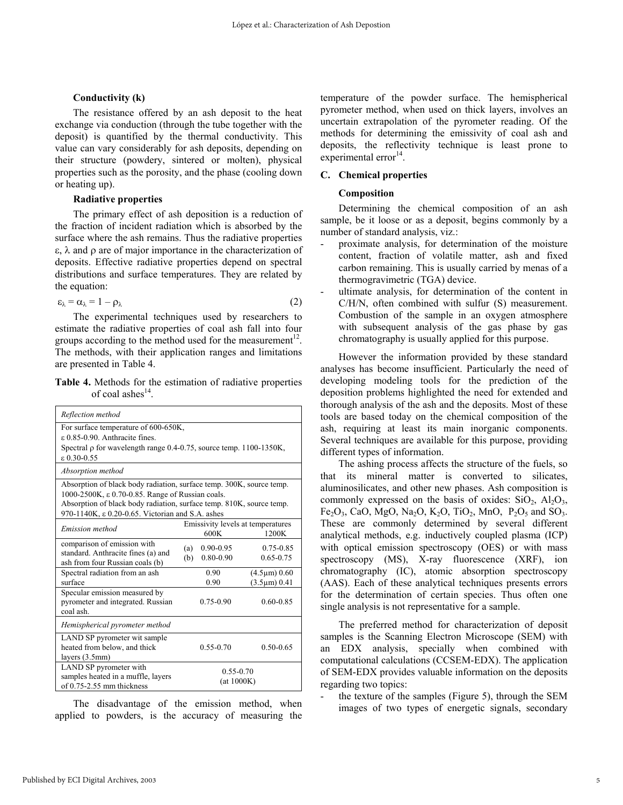#### **Conductivity (k)**

The resistance offered by an ash deposit to the heat exchange via conduction (through the tube together with the deposit) is quantified by the thermal conductivity. This value can vary considerably for ash deposits, depending on their structure (powdery, sintered or molten), physical properties such as the porosity, and the phase (cooling down or heating up).

#### **Radiative properties**

The primary effect of ash deposition is a reduction of the fraction of incident radiation which is absorbed by the surface where the ash remains. Thus the radiative properties ε, λ and ρ are of major importance in the characterization of deposits. Effective radiative properties depend on spectral distributions and surface temperatures. They are related by the equation:

$$
\varepsilon_{\lambda} = \alpha_{\lambda} = 1 - \rho_{\lambda} \tag{2}
$$

 The experimental techniques used by researchers to estimate the radiative properties of coal ash fall into four groups according to the method used for the measurement<sup>12</sup>. The methods, with their application ranges and limitations are presented in Table 4.

**Table 4.** Methods for the estimation of radiative properties of coal ashes $^{14}$ .

| Reflection method                                                                                                                                                                                                                                    |                                                    |                            |                                          |  |
|------------------------------------------------------------------------------------------------------------------------------------------------------------------------------------------------------------------------------------------------------|----------------------------------------------------|----------------------------|------------------------------------------|--|
| For surface temperature of 600-650K,<br>$\epsilon$ 0.85-0.90. Anthracite fines.<br>Spectral $\rho$ for wavelength range 0.4-0.75, source temp. 1100-1350K,<br>$\epsilon$ 0.30-0.55                                                                   |                                                    |                            |                                          |  |
| Absorption method                                                                                                                                                                                                                                    |                                                    |                            |                                          |  |
| Absorption of black body radiation, surface temp. 300K, source temp.<br>1000-2500K, ε 0.70-0.85. Range of Russian coals.<br>Absorption of black body radiation, surface temp. 810K, source temp.<br>970-1140K, ε 0.20-0.65. Victorian and S.A. ashes |                                                    |                            |                                          |  |
| Emission method                                                                                                                                                                                                                                      | Emissivity levels at temperatures<br>1200K<br>600K |                            |                                          |  |
| comparison of emission with<br>standard. Anthracite fines (a) and<br>ash from four Russian coals (b)                                                                                                                                                 | (a)<br>(b)                                         | $0.90 - 0.95$<br>0.80-0.90 | $0.75 - 0.85$<br>$0.65 - 0.75$           |  |
| Spectral radiation from an ash<br>surface                                                                                                                                                                                                            |                                                    | 0.90<br>0.90               | $(4.5 \mu m) 0.60$<br>$(3.5 \mu m) 0.41$ |  |
| Specular emission measured by<br>pyrometer and integrated. Russian<br>coal ash.                                                                                                                                                                      |                                                    | $0.75 - 0.90$              | $0.60 - 0.85$                            |  |
| Hemispherical pyrometer method                                                                                                                                                                                                                       |                                                    |                            |                                          |  |
| LAND SP pyrometer wit sample<br>heated from below, and thick<br>layers (3.5mm)                                                                                                                                                                       |                                                    | $0.55 - 0.70$              | $0.50 - 0.65$                            |  |
| LAND SP pyrometer with<br>samples heated in a muffle, layers<br>of $0.75-2.55$ mm thickness                                                                                                                                                          | $0.55 - 0.70$<br>(at 1000K)                        |                            |                                          |  |

 The disadvantage of the emission method, when applied to powders, is the accuracy of measuring the temperature of the powder surface. The hemispherical pyrometer method, when used on thick layers, involves an uncertain extrapolation of the pyrometer reading. Of the methods for determining the emissivity of coal ash and deposits, the reflectivity technique is least prone to experimental error $^{14}$ .

#### **C. Chemical properties**

#### **Composition**

Determining the chemical composition of an ash sample, be it loose or as a deposit, begins commonly by a number of standard analysis, viz.:

- proximate analysis, for determination of the moisture content, fraction of volatile matter, ash and fixed carbon remaining. This is usually carried by menas of a thermogravimetric (TGA) device.
- ultimate analysis, for determination of the content in C/H/N, often combined with sulfur (S) measurement. Combustion of the sample in an oxygen atmosphere with subsequent analysis of the gas phase by gas chromatography is usually applied for this purpose.

However the information provided by these standard analyses has become insufficient. Particularly the need of developing modeling tools for the prediction of the deposition problems highlighted the need for extended and thorough analysis of the ash and the deposits. Most of these tools are based today on the chemical composition of the ash, requiring at least its main inorganic components. Several techniques are available for this purpose, providing different types of information.

The ashing process affects the structure of the fuels, so that its mineral matter is converted to silicates, aluminosilicates, and other new phases. Ash composition is commonly expressed on the basis of oxides:  $SiO_2$ ,  $Al_2O_3$ , Fe<sub>2</sub>O<sub>3</sub>, CaO, MgO, Na<sub>2</sub>O, K<sub>2</sub>O, TiO<sub>2</sub>, MnO, P<sub>2</sub>O<sub>5</sub> and SO<sub>3</sub>. These are commonly determined by several different analytical methods, e.g. inductively coupled plasma (ICP) with optical emission spectroscopy (OES) or with mass spectroscopy (MS), X-ray fluorescence (XRF), ion chromatography (IC), atomic absorption spectroscopy (AAS). Each of these analytical techniques presents errors for the determination of certain species. Thus often one single analysis is not representative for a sample.

 The preferred method for characterization of deposit samples is the Scanning Electron Microscope (SEM) with an EDX analysis, specially when combined with computational calculations (CCSEM-EDX). The application of SEM-EDX provides valuable information on the deposits regarding two topics:

the texture of the samples (Figure 5), through the SEM images of two types of energetic signals, secondary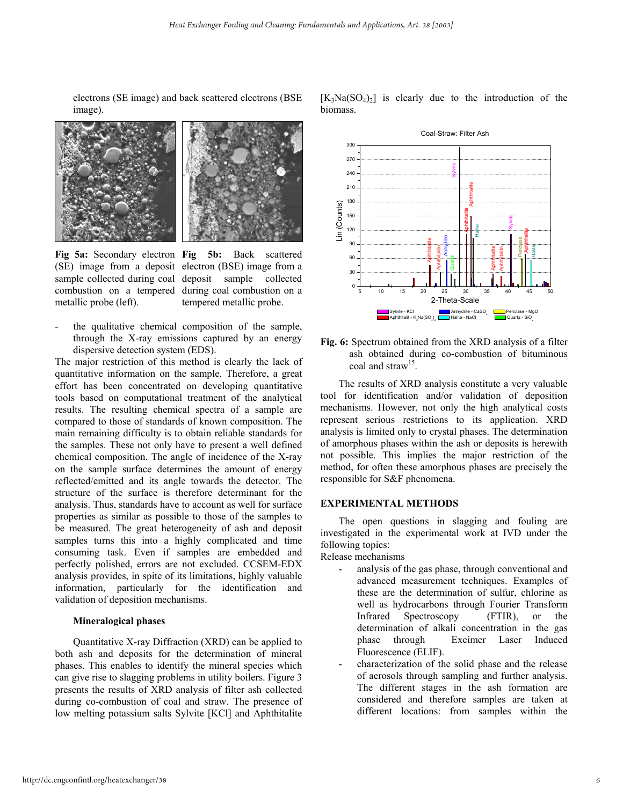electrons (SE image) and back scattered electrons (BSE image).





metallic probe (left).

**Fig 5a:** Secondary electron **Fig 5b:** Back scattered (SE) image from a deposit electron (BSE) image from a sample collected during coal deposit sample collected combustion on a tempered during coal combustion on a tempered metallic probe.

the qualitative chemical composition of the sample, through the X-ray emissions captured by an energy dispersive detection system (EDS).

The major restriction of this method is clearly the lack of quantitative information on the sample. Therefore, a great effort has been concentrated on developing quantitative tools based on computational treatment of the analytical results. The resulting chemical spectra of a sample are compared to those of standards of known composition. The main remaining difficulty is to obtain reliable standards for the samples. These not only have to present a well defined chemical composition. The angle of incidence of the X-ray on the sample surface determines the amount of energy reflected/emitted and its angle towards the detector. The structure of the surface is therefore determinant for the analysis. Thus, standards have to account as well for surface properties as similar as possible to those of the samples to be measured. The great heterogeneity of ash and deposit samples turns this into a highly complicated and time consuming task. Even if samples are embedded and perfectly polished, errors are not excluded. CCSEM-EDX analysis provides, in spite of its limitations, highly valuable information, particularly for the identification and validation of deposition mechanisms.

# **Mineralogical phases**

Quantitative X-ray Diffraction (XRD) can be applied to both ash and deposits for the determination of mineral phases. This enables to identify the mineral species which can give rise to slagging problems in utility boilers. Figure 3 presents the results of XRD analysis of filter ash collected during co-combustion of coal and straw. The presence of low melting potassium salts Sylvite [KCl] and Aphthitalite





**Fig. 6:** Spectrum obtained from the XRD analysis of a filter ash obtained during co-combustion of bituminous coal and straw<sup>15</sup>

 The results of XRD analysis constitute a very valuable tool for identification and/or validation of deposition mechanisms. However, not only the high analytical costs represent serious restrictions to its application. XRD analysis is limited only to crystal phases. The determination of amorphous phases within the ash or deposits is herewith not possible. This implies the major restriction of the method, for often these amorphous phases are precisely the responsible for S&F phenomena.

# **EXPERIMENTAL METHODS**

 The open questions in slagging and fouling are investigated in the experimental work at IVD under the following topics:

Release mechanisms

- analysis of the gas phase, through conventional and advanced measurement techniques. Examples of these are the determination of sulfur, chlorine as well as hydrocarbons through Fourier Transform Infrared Spectroscopy (FTIR), or the determination of alkali concentration in the gas phase through Excimer Laser Induced Fluorescence (ELIF).
- characterization of the solid phase and the release of aerosols through sampling and further analysis. The different stages in the ash formation are considered and therefore samples are taken at different locations: from samples within the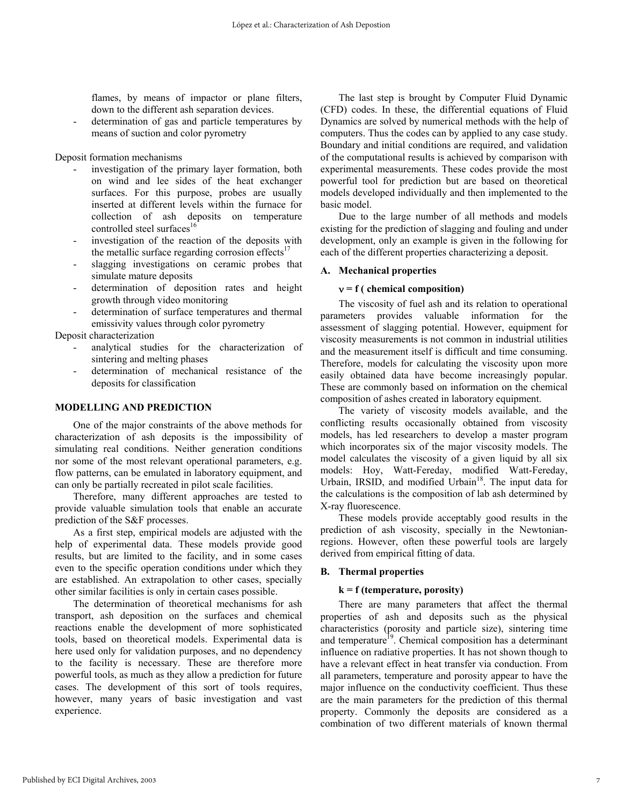flames, by means of impactor or plane filters, down to the different ash separation devices.

determination of gas and particle temperatures by means of suction and color pyrometry

Deposit formation mechanisms

- investigation of the primary layer formation, both on wind and lee sides of the heat exchanger surfaces. For this purpose, probes are usually inserted at different levels within the furnace for collection of ash deposits on temperature controlled steel surfaces<sup>16</sup>
- investigation of the reaction of the deposits with the metallic surface regarding corrosion effects $17$
- slagging investigations on ceramic probes that simulate mature deposits
- determination of deposition rates and height growth through video monitoring
- determination of surface temperatures and thermal emissivity values through color pyrometry

Deposit characterization

- analytical studies for the characterization of sintering and melting phases
- determination of mechanical resistance of the deposits for classification

#### **MODELLING AND PREDICTION**

 One of the major constraints of the above methods for characterization of ash deposits is the impossibility of simulating real conditions. Neither generation conditions nor some of the most relevant operational parameters, e.g. flow patterns, can be emulated in laboratory equipment, and can only be partially recreated in pilot scale facilities.

 Therefore, many different approaches are tested to provide valuable simulation tools that enable an accurate prediction of the S&F processes.

As a first step, empirical models are adjusted with the help of experimental data. These models provide good results, but are limited to the facility, and in some cases even to the specific operation conditions under which they are established. An extrapolation to other cases, specially other similar facilities is only in certain cases possible.

 The determination of theoretical mechanisms for ash transport, ash deposition on the surfaces and chemical reactions enable the development of more sophisticated tools, based on theoretical models. Experimental data is here used only for validation purposes, and no dependency to the facility is necessary. These are therefore more powerful tools, as much as they allow a prediction for future cases. The development of this sort of tools requires, however, many years of basic investigation and vast experience.

 The last step is brought by Computer Fluid Dynamic (CFD) codes. In these, the differential equations of Fluid Dynamics are solved by numerical methods with the help of computers. Thus the codes can by applied to any case study. Boundary and initial conditions are required, and validation of the computational results is achieved by comparison with experimental measurements. These codes provide the most powerful tool for prediction but are based on theoretical models developed individually and then implemented to the basic model.

Due to the large number of all methods and models existing for the prediction of slagging and fouling and under development, only an example is given in the following for each of the different properties characterizing a deposit.

#### **A. Mechanical properties**

#### ν **= f ( chemical composition)**

 The viscosity of fuel ash and its relation to operational parameters provides valuable information for the assessment of slagging potential. However, equipment for viscosity measurements is not common in industrial utilities and the measurement itself is difficult and time consuming. Therefore, models for calculating the viscosity upon more easily obtained data have become increasingly popular. These are commonly based on information on the chemical composition of ashes created in laboratory equipment.

The variety of viscosity models available, and the conflicting results occasionally obtained from viscosity models, has led researchers to develop a master program which incorporates six of the major viscosity models. The model calculates the viscosity of a given liquid by all six models: Hoy, Watt-Fereday, modified Watt-Fereday, Urbain, IRSID, and modified Urbain<sup>18</sup>. The input data for the calculations is the composition of lab ash determined by X-ray fluorescence.

These models provide acceptably good results in the prediction of ash viscosity, specially in the Newtonianregions. However, often these powerful tools are largely derived from empirical fitting of data.

### **B. Thermal properties**

#### **k = f (temperature, porosity)**

 There are many parameters that affect the thermal properties of ash and deposits such as the physical characteristics (porosity and particle size), sintering time and temperature<sup>19</sup>. Chemical composition has a determinant influence on radiative properties. It has not shown though to have a relevant effect in heat transfer via conduction. From all parameters, temperature and porosity appear to have the major influence on the conductivity coefficient. Thus these are the main parameters for the prediction of this thermal property. Commonly the deposits are considered as a combination of two different materials of known thermal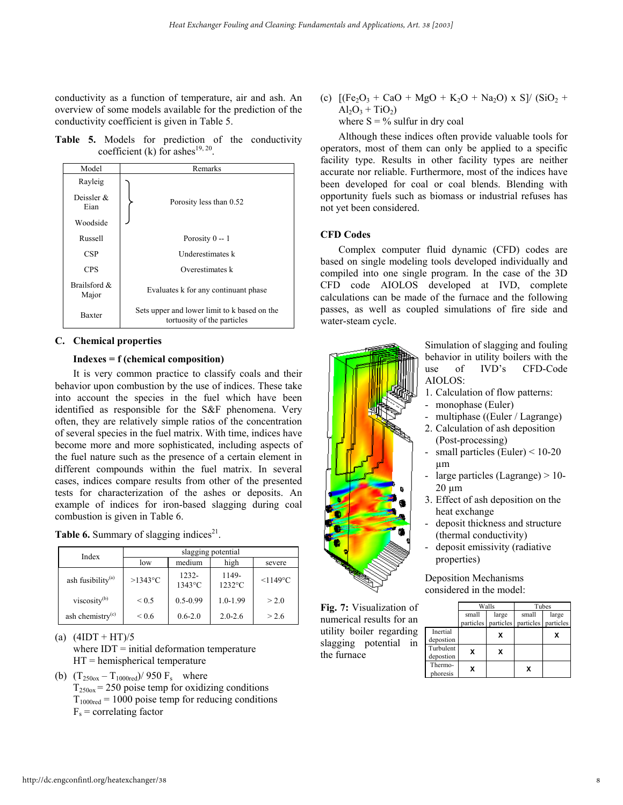conductivity as a function of temperature, air and ash. An overview of some models available for the prediction of the conductivity coefficient is given in Table 5.

**Table 5.** Models for prediction of the conductivity coefficient (k) for ashes<sup>19, 20</sup>.

| Model                 | Remarks                                                                     |  |  |  |
|-----------------------|-----------------------------------------------------------------------------|--|--|--|
| Rayleig               |                                                                             |  |  |  |
| Deissler $\&$<br>Eian | Porosity less than 0.52                                                     |  |  |  |
| Woodside              |                                                                             |  |  |  |
| Russell               | Porosity $0 - 1$                                                            |  |  |  |
| <b>CSP</b>            | Underestimates k                                                            |  |  |  |
| <b>CPS</b>            | Overestimates k                                                             |  |  |  |
| Brailsford &<br>Major | Evaluates k for any continuant phase                                        |  |  |  |
| <b>Baxter</b>         | Sets upper and lower limit to k based on the<br>tortuosity of the particles |  |  |  |

### **C. Chemical properties**

### **Indexes = f (chemical composition)**

 It is very common practice to classify coals and their behavior upon combustion by the use of indices. These take into account the species in the fuel which have been identified as responsible for the S&F phenomena. Very often, they are relatively simple ratios of the concentration of several species in the fuel matrix. With time, indices have become more and more sophisticated, including aspects of the fuel nature such as the presence of a certain element in different compounds within the fuel matrix. In several cases, indices compare results from other of the presented tests for characterization of the ashes or deposits. An example of indices for iron-based slagging during coal combustion is given in Table 6.

| Table 6. Summary of slagging indices <sup>21</sup> . |  |  |
|------------------------------------------------------|--|--|
|                                                      |  |  |

| Index                         | slagging potential |                              |                    |                      |
|-------------------------------|--------------------|------------------------------|--------------------|----------------------|
|                               | low                | medium                       | high               | severe               |
| ash fusibility <sup>(a)</sup> | $>1343$ °C         | $1232 -$<br>$1343^{\circ}$ C | 1149-<br>$1232$ °C | $<$ 1149 $\degree$ C |
| viscosity <sup>(b)</sup>      | ${}_{0.5}$         | $0.5 - 0.99$                 | $1.0 - 1.99$       | > 2.0                |
| ash chemistry $(c)$           | ${}^{<0.6}$        | $0.6 - 2.0$                  | $2.0 - 2.6$        | > 2.6                |

(a)  $(4IDT + HT)/5$ 

- where  $IDT = initial deformation temperature$  $HT =$  hemispherical temperature
- (b)  $(T_{250\text{ox}} T_{1000\text{red}})/950 \text{ F}_s$  where  $T_{2500x}$  = 250 poise temp for oxidizing conditions  $T_{1000\text{red}}$  = 1000 poise temp for reducing conditions  $F_s$  = correlating factor

(c)  $[(Fe<sub>2</sub>O<sub>3</sub> + CaO + MgO + K<sub>2</sub>O + Na<sub>2</sub>O) \times S]/(SiO<sub>2</sub> +$  $Al_2O_3 + TiO_2$ where  $S = \frac{1}{6}$  sulfur in dry coal

Although these indices often provide valuable tools for operators, most of them can only be applied to a specific facility type. Results in other facility types are neither accurate nor reliable. Furthermore, most of the indices have been developed for coal or coal blends. Blending with opportunity fuels such as biomass or industrial refuses has not yet been considered.

# **CFD Codes**

Complex computer fluid dynamic (CFD) codes are based on single modeling tools developed individually and compiled into one single program. In the case of the 3D CFD code AIOLOS developed at IVD, complete calculations can be made of the furnace and the following passes, as well as coupled simulations of fire side and water-steam cycle.



**Fig. 7:** Visualization of numerical results for an utility boiler regarding slagging potential in

the furnace

Simulation of slagging and fouling behavior in utility boilers with the use of IVD's CFD-Code AIOLOS:

- 1. Calculation of flow patterns:
- monophase (Euler)
- multiphase ((Euler / Lagrange)
- 2. Calculation of ash deposition (Post-processing)
- small particles (Euler)  $<$  10-20 µm
- large particles (Lagrange)  $> 10$ - $20 \mu m$
- 3. Effect of ash deposition on the heat exchange
- deposit thickness and structure (thermal conductivity)
- deposit emissivity (radiative properties)

Deposition Mechanisms considered in the model:

small large small large particles particles particles particles Inertial depostion Turbulent depostion Thermo- $\begin{array}{c|c}\n\text{Thermo-}\n\end{array}$  **X**  $\begin{array}{|c|c|}\n\end{array}$  **X**  $\mathbf{x}$   $\mathbf{x}$ Walls Tubes  $\mathbf{x}$   $\mathbf{x}$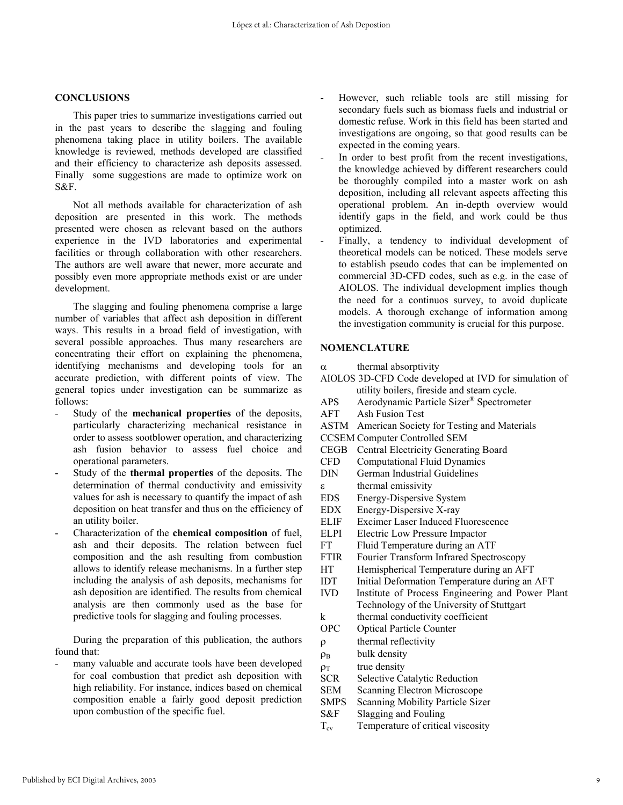### **CONCLUSIONS**

This paper tries to summarize investigations carried out in the past years to describe the slagging and fouling phenomena taking place in utility boilers. The available knowledge is reviewed, methods developed are classified and their efficiency to characterize ash deposits assessed. Finally some suggestions are made to optimize work on S&F.

Not all methods available for characterization of ash deposition are presented in this work. The methods presented were chosen as relevant based on the authors experience in the IVD laboratories and experimental facilities or through collaboration with other researchers. The authors are well aware that newer, more accurate and possibly even more appropriate methods exist or are under development.

The slagging and fouling phenomena comprise a large number of variables that affect ash deposition in different ways. This results in a broad field of investigation, with several possible approaches. Thus many researchers are concentrating their effort on explaining the phenomena, identifying mechanisms and developing tools for an accurate prediction, with different points of view. The general topics under investigation can be summarize as follows:

- Study of the **mechanical properties** of the deposits, particularly characterizing mechanical resistance in order to assess sootblower operation, and characterizing ash fusion behavior to assess fuel choice and operational parameters.
- Study of the **thermal properties** of the deposits. The determination of thermal conductivity and emissivity values for ash is necessary to quantify the impact of ash deposition on heat transfer and thus on the efficiency of an utility boiler.
- Characterization of the **chemical composition** of fuel, ash and their deposits. The relation between fuel composition and the ash resulting from combustion allows to identify release mechanisms. In a further step including the analysis of ash deposits, mechanisms for ash deposition are identified. The results from chemical analysis are then commonly used as the base for predictive tools for slagging and fouling processes.

During the preparation of this publication, the authors found that:

many valuable and accurate tools have been developed for coal combustion that predict ash deposition with high reliability. For instance, indices based on chemical composition enable a fairly good deposit prediction upon combustion of the specific fuel.

- However, such reliable tools are still missing for secondary fuels such as biomass fuels and industrial or domestic refuse. Work in this field has been started and investigations are ongoing, so that good results can be expected in the coming years.
- In order to best profit from the recent investigations, the knowledge achieved by different researchers could be thoroughly compiled into a master work on ash deposition, including all relevant aspects affecting this operational problem. An in-depth overview would identify gaps in the field, and work could be thus optimized.
- Finally, a tendency to individual development of theoretical models can be noticed. These models serve to establish pseudo codes that can be implemented on commercial 3D-CFD codes, such as e.g. in the case of AIOLOS. The individual development implies though the need for a continuos survey, to avoid duplicate models. A thorough exchange of information among the investigation community is crucial for this purpose.

#### **NOMENCLATURE**

- $\alpha$  thermal absorptivity
- AIOLOS 3D-CFD Code developed at IVD for simulation of utility boilers, fireside and steam cycle.
- APS Aerodynamic Particle Sizer® Spectrometer
- AFT Ash Fusion Test
- ASTM American Society for Testing and Materials
- CCSEM Computer Controlled SEM
- CEGB Central Electricity Generating Board
- CFD Computational Fluid Dynamics
- DIN German Industrial Guidelines ε thermal emissivity
- EDS Energy-Dispersive System
- EDX Energy-Dispersive X-ray
- ELIF Excimer Laser Induced Fluorescence
- ELPI Electric Low Pressure Impactor
- FT Fluid Temperature during an ATF
- FTIR Fourier Transform Infrared Spectroscopy
- HT Hemispherical Temperature during an AFT
- IDT Initial Deformation Temperature during an AFT
- IVD Institute of Process Engineering and Power Plant Technology of the University of Stuttgart
- k thermal conductivity coefficient OPC Optical Particle Counter
- 
- ρ thermal reflectivity
- $\rho_B$  bulk density
- $\rho_{\rm T}$  true density
- SCR Selective Catalytic Reduction
- SEM Scanning Electron Microscope SMPS Scanning Mobility Particle Sizer
- 
- S&F Slagging and Fouling
- $T_{\rm cv}$  Temperature of critical viscosity